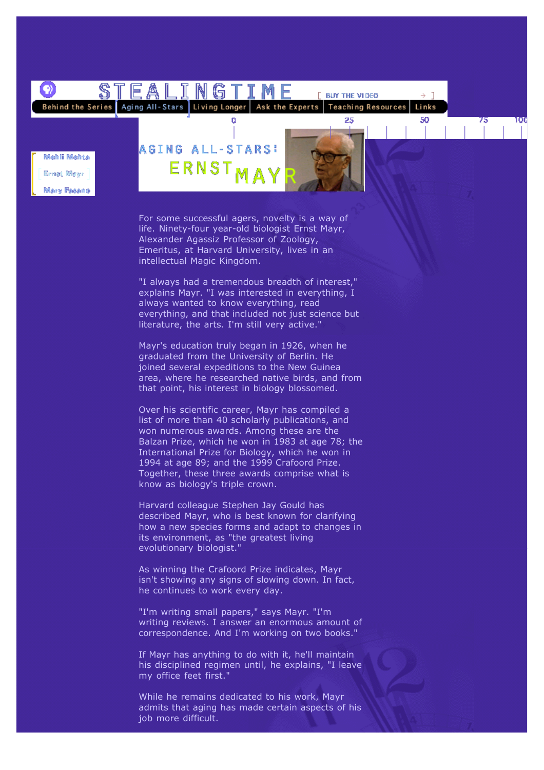

For some successful agers, novelty is a way of life. Ninety-four year-old biologist Ernst Mayr, Alexander Agassiz Professor of Zoology, Emeritus, at Harvard University, lives in an intellectual Magic Kingdom.

"I always had a tremendous breadth of interest," explains Mayr. "I was interested in everything, I always wanted to know everything, read everything, and that included not just science but literature, the arts. I'm still very active."

Mayr's education truly began in 1926, when he graduated from the University of Berlin. He joined several expeditions to the New Guinea area, where he researched native birds, and from that point, his interest in biology blossomed.

Over his scientific career, Mayr has compiled a list of more than 40 scholarly publications, and won numerous awards. Among these are the Balzan Prize, which he won in 1983 at age 78; the International Prize for Biology, which he won in 1994 at age 89; and the 1999 Crafoord Prize. Together, these three awards comprise what is know as biology's triple crown.

Harvard colleague Stephen Jay Gould has described Mayr, who is best known for clarifying how a new species forms and adapt to changes in its environment, as "the greatest living evolutionary biologist."

As winning the Crafoord Prize indicates, Mayr isn't showing any signs of slowing down. In fact, he continues to work every day.

"I'm writing small papers," says Mayr. "I'm writing reviews. I answer an enormous amount of correspondence. And I'm working on two books."

If Mayr has anything to do with it, he'll maintain his disciplined regimen until, he explains, "I leave my office feet first."

While he remains dedicated to his work, Mayr admits that aging has made certain aspects of his job more difficult.